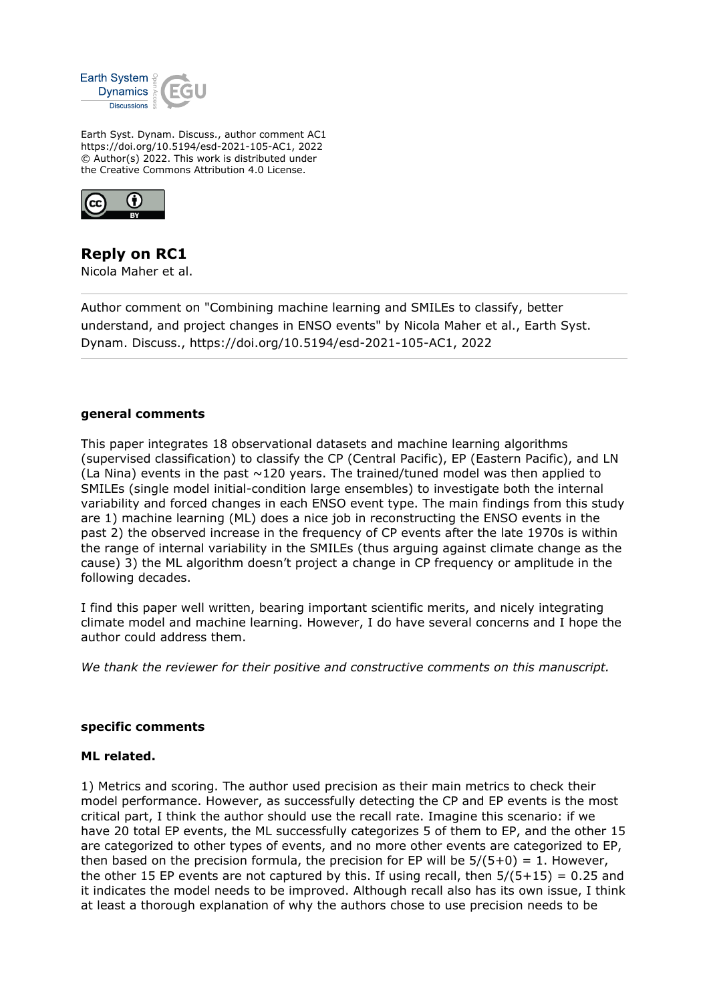

Earth Syst. Dynam. Discuss., author comment AC1 https://doi.org/10.5194/esd-2021-105-AC1, 2022 © Author(s) 2022. This work is distributed under the Creative Commons Attribution 4.0 License.



# **Reply on RC1**

Nicola Maher et al.

Author comment on "Combining machine learning and SMILEs to classify, better understand, and project changes in ENSO events" by Nicola Maher et al., Earth Syst. Dynam. Discuss., https://doi.org/10.5194/esd-2021-105-AC1, 2022

### **general comments**

This paper integrates 18 observational datasets and machine learning algorithms (supervised classification) to classify the CP (Central Pacific), EP (Eastern Pacific), and LN (La Nina) events in the past  $\sim$ 120 years. The trained/tuned model was then applied to SMILEs (single model initial-condition large ensembles) to investigate both the internal variability and forced changes in each ENSO event type. The main findings from this study are 1) machine learning (ML) does a nice job in reconstructing the ENSO events in the past 2) the observed increase in the frequency of CP events after the late 1970s is within the range of internal variability in the SMILEs (thus arguing against climate change as the cause) 3) the ML algorithm doesn't project a change in CP frequency or amplitude in the following decades.

I find this paper well written, bearing important scientific merits, and nicely integrating climate model and machine learning. However, I do have several concerns and I hope the author could address them.

*We thank the reviewer for their positive and constructive comments on this manuscript.*

### **specific comments**

### **ML related.**

1) Metrics and scoring. The author used precision as their main metrics to check their model performance. However, as successfully detecting the CP and EP events is the most critical part, I think the author should use the recall rate. Imagine this scenario: if we have 20 total EP events, the ML successfully categorizes 5 of them to EP, and the other 15 are categorized to other types of events, and no more other events are categorized to EP, then based on the precision formula, the precision for EP will be  $5/(5+0) = 1$ . However, the other 15 EP events are not captured by this. If using recall, then  $5/(5+15) = 0.25$  and it indicates the model needs to be improved. Although recall also has its own issue, I think at least a thorough explanation of why the authors chose to use precision needs to be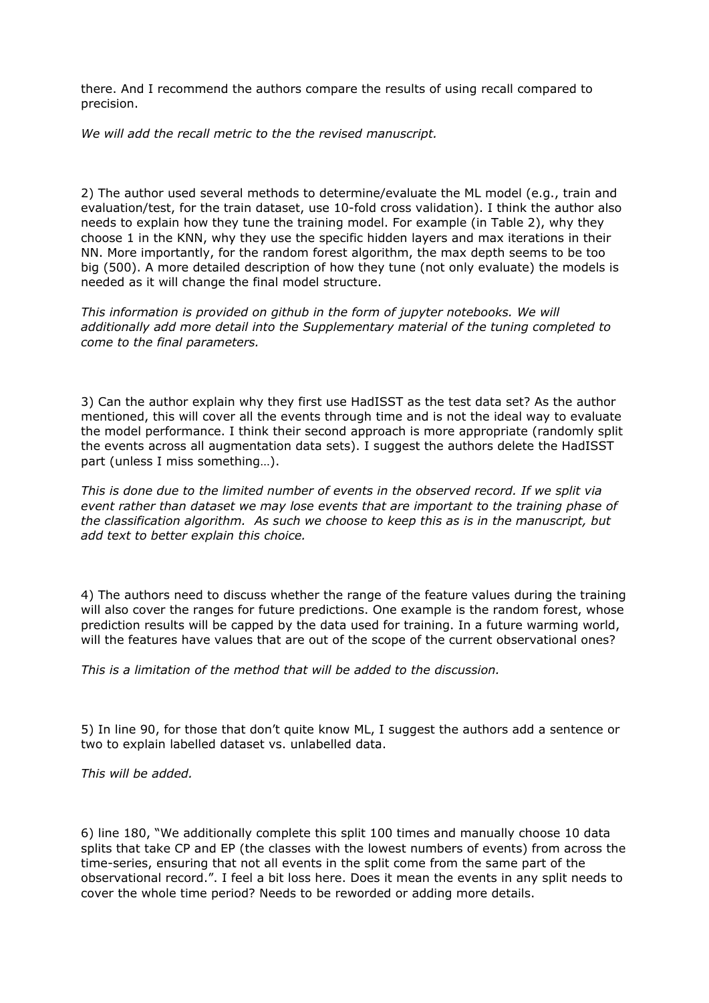there. And I recommend the authors compare the results of using recall compared to precision.

*We will add the recall metric to the the revised manuscript.*

2) The author used several methods to determine/evaluate the ML model (e.g., train and evaluation/test, for the train dataset, use 10-fold cross validation). I think the author also needs to explain how they tune the training model. For example (in Table 2), why they choose 1 in the KNN, why they use the specific hidden layers and max iterations in their NN. More importantly, for the random forest algorithm, the max depth seems to be too big (500). A more detailed description of how they tune (not only evaluate) the models is needed as it will change the final model structure.

*This information is provided on github in the form of jupyter notebooks. We will additionally add more detail into the Supplementary material of the tuning completed to come to the final parameters.*

3) Can the author explain why they first use HadISST as the test data set? As the author mentioned, this will cover all the events through time and is not the ideal way to evaluate the model performance. I think their second approach is more appropriate (randomly split the events across all augmentation data sets). I suggest the authors delete the HadISST part (unless I miss something…).

*This is done due to the limited number of events in the observed record. If we split via event rather than dataset we may lose events that are important to the training phase of the classification algorithm. As such we choose to keep this as is in the manuscript, but add text to better explain this choice.*

4) The authors need to discuss whether the range of the feature values during the training will also cover the ranges for future predictions. One example is the random forest, whose prediction results will be capped by the data used for training. In a future warming world, will the features have values that are out of the scope of the current observational ones?

*This is a limitation of the method that will be added to the discussion.*

5) In line 90, for those that don't quite know ML, I suggest the authors add a sentence or two to explain labelled dataset vs. unlabelled data.

*This will be added.*

6) line 180, "We additionally complete this split 100 times and manually choose 10 data splits that take CP and EP (the classes with the lowest numbers of events) from across the time-series, ensuring that not all events in the split come from the same part of the observational record.". I feel a bit loss here. Does it mean the events in any split needs to cover the whole time period? Needs to be reworded or adding more details.